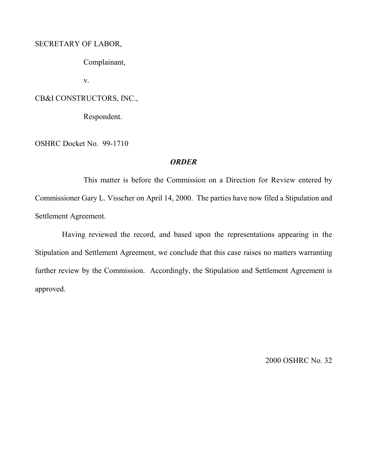# SECRETARY OF LABOR,

Complainant,

v.

## CB&I CONSTRUCTORS, INC.,

Respondent.

OSHRC Docket No. 99-1710

## *ORDER*

This matter is before the Commission on a Direction for Review entered by Commissioner Gary L. Visscher on April 14, 2000. The parties have now filed a Stipulation and Settlement Agreement.

Having reviewed the record, and based upon the representations appearing in the Stipulation and Settlement Agreement, we conclude that this case raises no matters warranting further review by the Commission. Accordingly, the Stipulation and Settlement Agreement is approved.

2000 OSHRC No. 32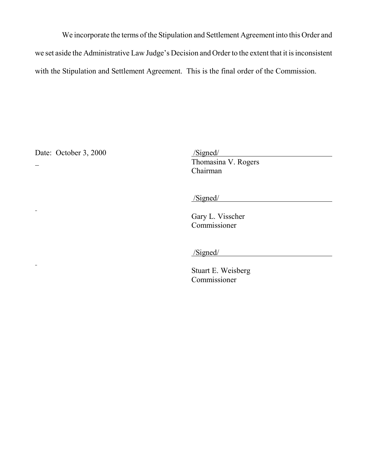We incorporate the terms of the Stipulation and Settlement Agreement into this Order and we set aside the Administrative Law Judge's Decision and Order to the extent that it is inconsistent with the Stipulation and Settlement Agreement. This is the final order of the Commission.

Date: October 3,  $2000$ 

 $\mathbf{r}$ 

 $\equiv$ 

Date: October 3, 2000<br>
- Thomasina V. Rogers Chairman

/Signed/

Gary L. Visscher Commissioner

/Signed/

Stuart E. Weisberg Commissioner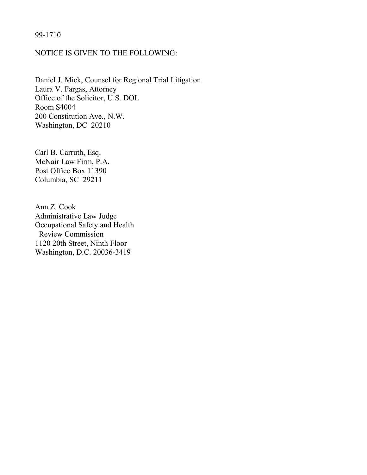### 99-1710

### NOTICE IS GIVEN TO THE FOLLOWING:

Daniel J. Mick, Counsel for Regional Trial Litigation Laura V. Fargas, Attorney Office of the Solicitor, U.S. DOL Room S4004 200 Constitution Ave., N.W. Washington, DC 20210

Carl B. Carruth, Esq. McNair Law Firm, P.A. Post Office Box 11390 Columbia, SC 29211

Ann Z. Cook Administrative Law Judge Occupational Safety and Health Review Commission 1120 20th Street, Ninth Floor Washington, D.C. 20036-3419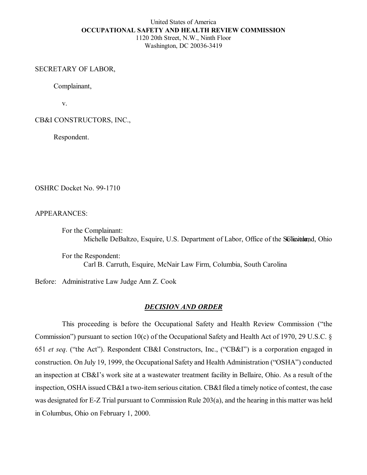## United States of America **OCCUPATIONAL SAFETY AND HEALTH REVIEW COMMISSION** 1120 20th Street, N.W., Ninth Floor

Washington, DC 20036-3419

### SECRETARY OF LABOR,

Complainant,

v.

CB&I CONSTRUCTORS, INC.,

Respondent.

OSHRC Docket No. 99-1710

APPEARANCES:

For the Complainant: Michelle DeBaltzo, Esquire, U.S. Department of Labor, Office of the Solicitoriand, Ohio

For the Respondent: Carl B. Carruth, Esquire, McNair Law Firm, Columbia, South Carolina

Before: Administrative Law Judge Ann Z. Cook

### *DECISION AND ORDER*

This proceeding is before the Occupational Safety and Health Review Commission ("the Commission") pursuant to section 10(c) of the Occupational Safety and Health Act of 1970, 29 U.S.C. § 651 *et seq*. ("the Act"). Respondent CB&I Constructors, Inc., ("CB&I") is a corporation engaged in construction. On July 19, 1999, the Occupational Safety and Health Administration ("OSHA") conducted an inspection at CB&I's work site at a wastewater treatment facility in Bellaire, Ohio. As a result of the inspection, OSHA issued CB&I a two-item serious citation. CB&I filed a timely notice of contest, the case was designated for E-Z Trial pursuant to Commission Rule 203(a), and the hearing in this matter was held in Columbus, Ohio on February 1, 2000.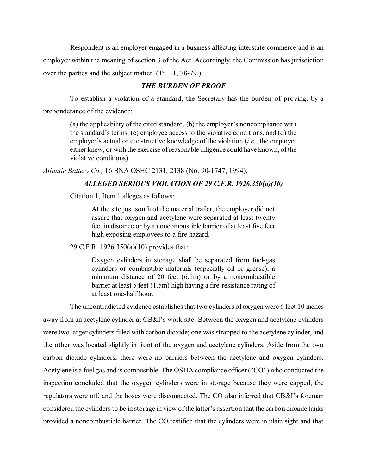Respondent is an employer engaged in a business affecting interstate commerce and is an employer within the meaning of section 3 of the Act. Accordingly, the Commission has jurisdiction over the parties and the subject matter. (Tr. 11, 78-79.)

## *THE BURDEN OF PROOF*

To establish a violation of a standard, the Secretary has the burden of proving, by a preponderance of the evidence:

(a) the applicability of the cited standard, (b) the employer's noncompliance with the standard's terms, (c) employee access to the violative conditions, and (d) the employer's actual or constructive knowledge of the violation (*i.e.*, the employer either knew, or with the exercise of reasonable diligence could have known, of the violative conditions).

*Atlantic Battery Co.,* 16 BNA OSHC 2131, 2138 (No. 90-1747, 1994).

### *ALLEGED SERIOUS VIOLATION OF 29 C.F.R. 1926.350(a)(10)*

Citation 1, Item 1 alleges as follows:

At the site just south of the material trailer, the employer did not assure that oxygen and acetylene were separated at least twenty feet in distance or by a noncombustible barrier of at least five feet high exposing employees to a fire hazard.

29 C.F.R. 1926.350(a)(10) provides that:

Oxygen cylinders in storage shall be separated from fuel-gas cylinders or combustible materials (especially oil or grease), a minimum distance of 20 feet (6.1m) or by a noncombustible barrier at least 5 feet (1.5m) high having a fire-resistance rating of at least one-half hour.

The uncontradicted evidence establishes that two cylinders of oxygen were 6 feet 10 inches away from an acetylene cylinder at CB&I's work site. Between the oxygen and acetylene cylinders were two larger cylinders filled with carbon dioxide; one was strapped to the acetylene cylinder, and the other was located slightly in front of the oxygen and acetylene cylinders. Aside from the two carbon dioxide cylinders, there were no barriers between the acetylene and oxygen cylinders. Acetylene is a fuel gas and is combustible. The OSHA compliance officer ("CO") who conducted the inspection concluded that the oxygen cylinders were in storage because they were capped, the regulators were off, and the hoses were disconnected. The CO also inferred that CB&I's foreman considered the cylinders to be in storage in view of the latter's assertion that the carbon dioxide tanks provided a noncombustible barrier. The CO testified that the cylinders were in plain sight and that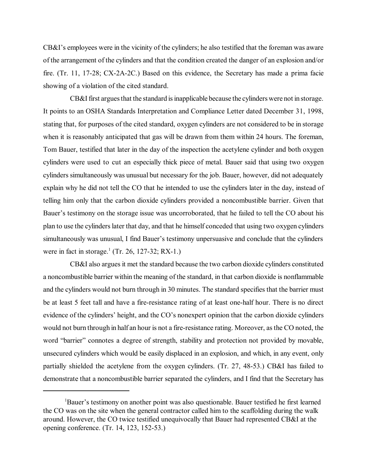CB&I's employees were in the vicinity of the cylinders; he also testified that the foreman was aware of the arrangement of the cylinders and that the condition created the danger of an explosion and/or fire. (Tr. 11, 17-28; CX-2A-2C.) Based on this evidence, the Secretary has made a prima facie showing of a violation of the cited standard.

CB&I first argues that the standard is inapplicable because the cylinders were not in storage. It points to an OSHA Standards Interpretation and Compliance Letter dated December 31, 1998, stating that, for purposes of the cited standard, oxygen cylinders are not considered to be in storage when it is reasonably anticipated that gas will be drawn from them within 24 hours. The foreman, Tom Bauer, testified that later in the day of the inspection the acetylene cylinder and both oxygen cylinders were used to cut an especially thick piece of metal. Bauer said that using two oxygen cylinders simultaneously was unusual but necessary for the job. Bauer, however, did not adequately explain why he did not tell the CO that he intended to use the cylinders later in the day, instead of telling him only that the carbon dioxide cylinders provided a noncombustible barrier. Given that Bauer's testimony on the storage issue was uncorroborated, that he failed to tell the CO about his plan to use the cylinders later that day, and that he himself conceded that using two oxygen cylinders simultaneously was unusual, I find Bauer's testimony unpersuasive and conclude that the cylinders were in fact in storage.<sup>1</sup> (Tr. 26, 127-32; RX-1.)

CB&I also argues it met the standard because the two carbon dioxide cylinders constituted a noncombustible barrier within the meaning of the standard, in that carbon dioxide is nonflammable and the cylinders would not burn through in 30 minutes. The standard specifies that the barrier must be at least 5 feet tall and have a fire-resistance rating of at least one-half hour. There is no direct evidence of the cylinders' height, and the CO's nonexpert opinion that the carbon dioxide cylinders would not burn through in half an hour is not a fire-resistance rating. Moreover, as the CO noted, the word "barrier" connotes a degree of strength, stability and protection not provided by movable, unsecured cylinders which would be easily displaced in an explosion, and which, in any event, only partially shielded the acetylene from the oxygen cylinders. (Tr. 27, 48-53.) CB&I has failed to demonstrate that a noncombustible barrier separated the cylinders, and I find that the Secretary has

<sup>&</sup>lt;sup>1</sup>Bauer's testimony on another point was also questionable. Bauer testified he first learned the CO was on the site when the general contractor called him to the scaffolding during the walk around. However, the CO twice testified unequivocally that Bauer had represented CB&I at the opening conference. (Tr. 14, 123, 152-53.)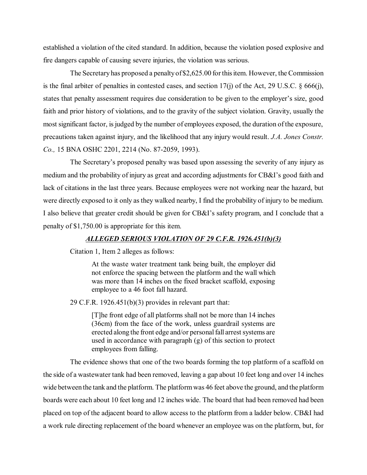established a violation of the cited standard. In addition, because the violation posed explosive and fire dangers capable of causing severe injuries, the violation was serious.

The Secretary has proposed a penalty of \$2,625.00 for this item. However, the Commission is the final arbiter of penalties in contested cases, and section 17(j) of the Act, 29 U.S.C. § 666(j), states that penalty assessment requires due consideration to be given to the employer's size, good faith and prior history of violations, and to the gravity of the subject violation. Gravity, usually the most significant factor, is judged by the number of employees exposed, the duration of the exposure, precautions taken against injury, and the likelihood that any injury would result. *J.A. Jones Constr. Co.,* 15 BNA OSHC 2201, 2214 (No. 87-2059, 1993).

The Secretary's proposed penalty was based upon assessing the severity of any injury as medium and the probability of injury as great and according adjustments for CB&I's good faith and lack of citations in the last three years. Because employees were not working near the hazard, but were directly exposed to it only as they walked nearby, I find the probability of injury to be medium. I also believe that greater credit should be given for CB&I's safety program, and I conclude that a penalty of \$1,750.00 is appropriate for this item.

#### *ALLEGED SERIOUS VIOLATION OF 29 C.F.R. 1926.451(b)(3)*

Citation 1, Item 2 alleges as follows:

At the waste water treatment tank being built, the employer did not enforce the spacing between the platform and the wall which was more than 14 inches on the fixed bracket scaffold, exposing employee to a 46 foot fall hazard.

29 C.F.R. 1926.451(b)(3) provides in relevant part that:

[T]he front edge of all platforms shall not be more than 14 inches (36cm) from the face of the work, unless guardrail systems are erected along the front edge and/or personal fall arrest systems are used in accordance with paragraph (g) of this section to protect employees from falling.

The evidence shows that one of the two boards forming the top platform of a scaffold on the side of a wastewater tank had been removed, leaving a gap about 10 feet long and over 14 inches wide between the tank and the platform. The platform was 46 feet above the ground, and the platform boards were each about 10 feet long and 12 inches wide. The board that had been removed had been placed on top of the adjacent board to allow access to the platform from a ladder below. CB&I had a work rule directing replacement of the board whenever an employee was on the platform, but, for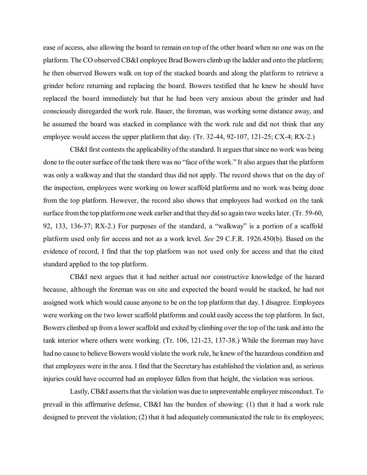ease of access, also allowing the board to remain on top of the other board when no one was on the platform. The CO observed CB&I employee Brad Bowers climb up the ladder and onto the platform; he then observed Bowers walk on top of the stacked boards and along the platform to retrieve a grinder before returning and replacing the board. Bowers testified that he knew he should have replaced the board immediately but that he had been very anxious about the grinder and had consciously disregarded the work rule. Bauer, the foreman, was working some distance away, and he assumed the board was stacked in compliance with the work rule and did not think that any employee would access the upper platform that day. (Tr. 32-44, 92-107, 121-25; CX-4; RX-2.)

CB&I first contests the applicability of the standard. It argues that since no work was being done to the outer surface of the tank there was no "face of the work." It also argues that the platform was only a walkway and that the standard thus did not apply. The record shows that on the day of the inspection, employees were working on lower scaffold platforms and no work was being done from the top platform. However, the record also shows that employees had worked on the tank surface from the top platform one week earlier and that they did so again two weeks later. (Tr. 59-60, 92, 133, 136-37; RX-2.) For purposes of the standard, a "walkway" is a portion of a scaffold platform used only for access and not as a work level. *See* 29 C.F.R. 1926.450(b). Based on the evidence of record, I find that the top platform was not used only for access and that the cited standard applied to the top platform.

CB&I next argues that it had neither actual nor constructive knowledge of the hazard because, although the foreman was on site and expected the board would be stacked, he had not assigned work which would cause anyone to be on the top platform that day. I disagree. Employees were working on the two lower scaffold platforms and could easily access the top platform. In fact, Bowers climbed up from a lower scaffold and exited by climbing over the top of the tank and into the tank interior where others were working. (Tr. 106, 121-23, 137-38.) While the foreman may have had no cause to believe Bowers would violate the work rule, he knew of the hazardous condition and that employees were in the area. I find that the Secretary has established the violation and, as serious injuries could have occurred had an employee fallen from that height, the violation was serious.

Lastly, CB&I asserts that the violation was due to unpreventable employee misconduct. To prevail in this affirmative defense, CB&I has the burden of showing: (1) that it had a work rule designed to prevent the violation; (2) that it had adequately communicated the rule to its employees;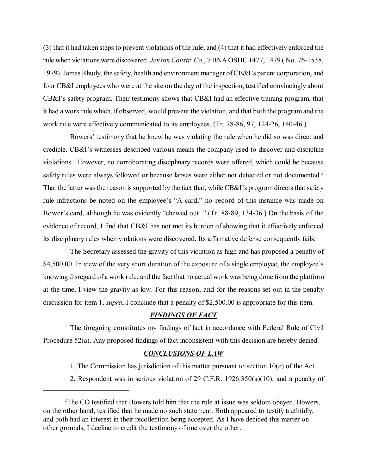(3) that it had taken steps to prevent violations of the rule; and (4) that it had effectively enforced the rule when violations were discovered. *Jenson Constr. Co.*, 7 BNA OSHC 1477, 1479 ( No. 76-1538, 1979). James Rhudy, the safety, health and environment manager of CB&I's parent corporation, and four CB&I employees who were at the site on the day of the inspection, testified convincingly about CB&I's safety program. Their testimony shows that CB&I had an effective training program, that it had a work rule which, if observed, would prevent the violation, and that both the program and the work rule were effectively communicated to its employees. (Tr. 78-86, 97, 124-26, 140-46.)

Bowers' testimony that he knew he was violating the rule when he did so was direct and credible. CB&I's witnesses described various means the company used to discover and discipline violations. However, no corroborating disciplinary records were offered, which could be because safety rules were always followed or because lapses were either not detected or not documented.<sup>2</sup> That the latter was the reason is supported by the fact that, while CB&I's program directs that safety rule infractions be noted on the employee's "A card," no record of this instance was made on Bower's card, although he was evidently "chewed out. " (Tr. 88-89, 134-36.) On the basis of the evidence of record, I find that CB&I has not met its burden of showing that it effectively enforced its disciplinary rules when violations were discovered. Its affirmative defense consequently fails.

The Secretary assessed the gravity of this violation as high and has proposed a penalty of \$4,500.00. In view of the very short duration of the exposure of a single employee, the employee's knowing disregard of a work rule, and the fact that no actual work was being done from the platform at the time, I view the gravity as low. For this reason, and for the reasons set out in the penalty discussion for item 1, *supra*, I conclude that a penalty of \$2,500.00 is appropriate for this item.

#### *FINDINGS OF FACT*

The foregoing constitutes my findings of fact in accordance with Federal Rule of Civil Procedure 52(a). Any proposed findings of fact inconsistent with this decision are hereby denied.

#### *CONCLUSIONS OF LAW*

1. The Commission has jurisdiction of this matter pursuant to section 10(c) of the Act.

2. Respondent was in serious violation of 29 C.F.R. 1926.350(a)(10), and a penalty of

 $2$ The CO testified that Bowers told him that the rule at issue was seldom obeyed. Bowers, on the other hand, testified that he made no such statement. Both appeared to testify truthfully, and both had an interest in their recollection being accepted. As I have decided this matter on other grounds, I decline to credit the testimony of one over the other.